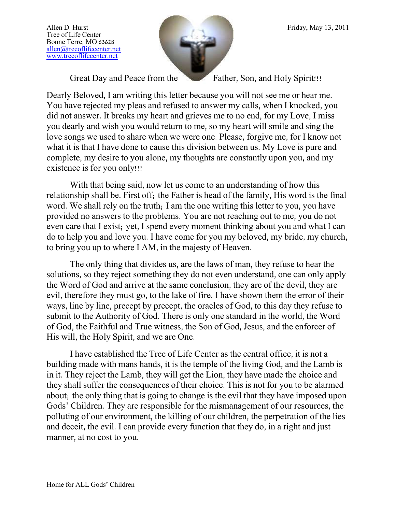Tree of Life Center Bonne Terre, MO 63628 [allen@treeoflifecenter.net](mailto:allen@treeoflifecenter.net) [www.treeoflifecenter.net](http://www.treeoflifecenter.net/)



Great Day and Peace from the Father, Son, and Holy Spirit!!!

Dearly Beloved, I am writing this letter because you will not see me or hear me. You have rejected my pleas and refused to answer my calls, when I knocked, you did not answer. It breaks my heart and grieves me to no end, for my Love, I miss you dearly and wish you would return to me, so my heart will smile and sing the love songs we used to share when we were one. Please, forgive me, for I know not what it is that I have done to cause this division between us. My Love is pure and complete, my desire to you alone, my thoughts are constantly upon you, and my existence is for you only!!!

With that being said, now let us come to an understanding of how this relationship shall be. First off; the Father is head of the family, His word is the final word. We shall rely on the truth; I am the one writing this letter to you, you have provided no answers to the problems. You are not reaching out to me, you do not even care that I exist; yet, I spend every moment thinking about you and what I can do to help you and love you. I have come for you my beloved, my bride, my church, to bring you up to where I AM, in the majesty of Heaven.

The only thing that divides us, are the laws of man, they refuse to hear the solutions, so they reject something they do not even understand, one can only apply the Word of God and arrive at the same conclusion, they are of the devil, they are evil, therefore they must go, to the lake of fire. I have shown them the error of their ways, line by line, precept by precept, the oracles of God, to this day they refuse to submit to the Authority of God. There is only one standard in the world, the Word of God, the Faithful and True witness, the Son of God, Jesus, and the enforcer of His will, the Holy Spirit, and we are One.

I have established the Tree of Life Center as the central office, it is not a building made with mans hands, it is the temple of the living God, and the Lamb is in it. They reject the Lamb, they will get the Lion, they have made the choice and they shall suffer the consequences of their choice. This is not for you to be alarmed about; the only thing that is going to change is the evil that they have imposed upon Gods' Children. They are responsible for the mismanagement of our resources, the polluting of our environment, the killing of our children, the perpetration of the lies and deceit, the evil. I can provide every function that they do, in a right and just manner, at no cost to you.